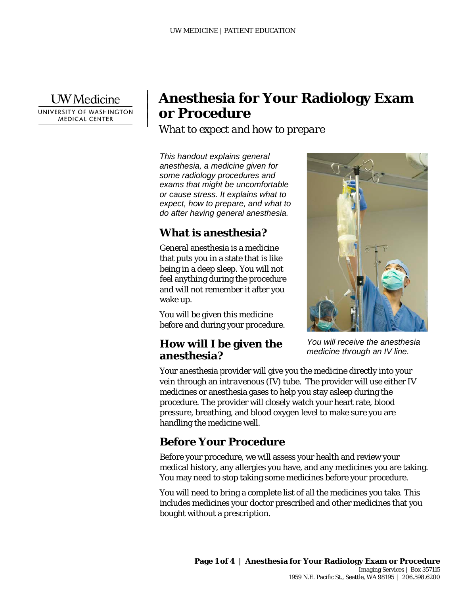**UW** Medicine UNIVERSITY OF WASHINGTON **MEDICAL CENTER** 

|  $\vert$  $\vert$  $\vert$ 

# **Anesthesia for Your Radiology Exam or Procedure**

*What to expect and how to prepare*

*This handout explains general anesthesia, a medicine given for some radiology procedures and exams that might be uncomfortable or cause stress. It explains what to expect, how to prepare, and what to do after having general anesthesia.*

# **What is anesthesia?**

General anesthesia is a medicine that puts you in a state that is like being in a deep sleep. You will not feel anything during the procedure and will not remember it after you wake up.

You will be given this medicine before and during your procedure.

#### **How will I be given the anesthesia?**



*You will receive the anesthesia medicine through an IV line.*

Your anesthesia provider will give you the medicine directly into your vein through an *intravenous* (IV) tube. The provider will use either IV medicines or anesthesia gases to help you stay asleep during the procedure. The provider will closely watch your heart rate, blood pressure, breathing, and blood oxygen level to make sure you are handling the medicine well.

## **Before Your Procedure**

\_\_\_\_\_\_\_\_\_\_\_\_\_\_\_\_\_\_\_\_\_\_\_\_\_\_\_\_\_\_\_\_\_\_\_\_\_\_\_\_\_\_\_\_\_\_\_\_\_\_\_\_\_\_\_\_\_\_\_\_\_\_\_\_\_\_\_\_\_\_\_\_\_\_\_\_\_\_\_\_\_\_\_\_\_\_\_\_\_\_\_\_\_

Before your procedure, we will assess your health and review your medical history, any allergies you have, and any medicines you are taking. You may need to stop taking some medicines before your procedure.

You will need to bring a complete list of all the medicines you take. This includes medicines your doctor prescribed and other medicines that you bought without a prescription.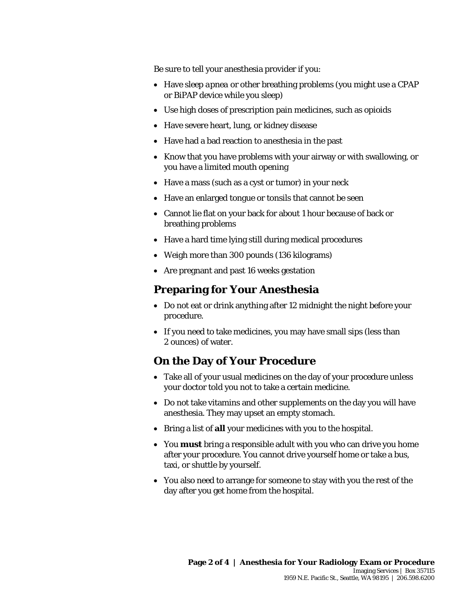Be sure to tell your anesthesia provider if you:

- Have *sleep apnea* or other breathing problems (you might use a CPAP or BiPAP device while you sleep)
- Use high doses of prescription pain medicines, such as *opioids*
- Have severe heart, lung, or kidney disease
- Have had a bad reaction to anesthesia in the past
- Know that you have problems with your airway or with swallowing, or you have a limited mouth opening
- Have a mass (such as a cyst or tumor) in your neck
- Have an enlarged tongue or tonsils that cannot be seen
- Cannot lie flat on your back for about 1 hour because of back or breathing problems
- Have a hard time lying still during medical procedures
- Weigh more than 300 pounds (136 kilograms)
- Are pregnant and past 16 weeks gestation

### **Preparing for Your Anesthesia**

- Do not eat or drink anything after 12 midnight the night before your procedure.
- If you need to take medicines, you may have small sips (less than 2 ounces) of water.

## **On the Day of Your Procedure**

\_\_\_\_\_\_\_\_\_\_\_\_\_\_\_\_\_\_\_\_\_\_\_\_\_\_\_\_\_\_\_\_\_\_\_\_\_\_\_\_\_\_\_\_\_\_\_\_\_\_\_\_\_\_\_\_\_\_\_\_\_\_\_\_\_\_\_\_\_\_\_\_\_\_\_\_\_\_\_\_\_\_\_\_\_\_\_\_\_\_\_\_\_

- Take all of your usual medicines on the day of your procedure unless your doctor told you not to take a certain medicine.
- Do not take vitamins and other supplements on the day you will have anesthesia. They may upset an empty stomach.
- Bring a list of **all** your medicines with you to the hospital.
- You **must** bring a responsible adult with you who can drive you home after your procedure. You cannot drive yourself home or take a bus, taxi, or shuttle by yourself.
- You also need to arrange for someone to stay with you the rest of the day after you get home from the hospital.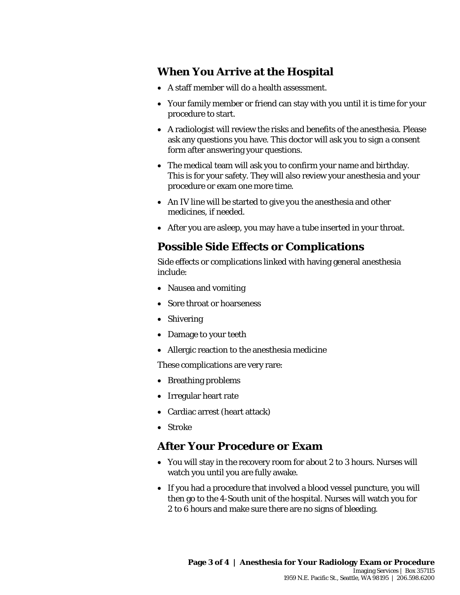# **When You Arrive at the Hospital**

- A staff member will do a health assessment.
- Your family member or friend can stay with you until it is time for your procedure to start.
- A radiologist will review the risks and benefits of the anesthesia. Please ask any questions you have. This doctor will ask you to sign a consent form after answering your questions.
- The medical team will ask you to confirm your name and birthday. This is for your safety. They will also review your anesthesia and your procedure or exam one more time.
- An IV line will be started to give you the anesthesia and other medicines, if needed.
- After you are asleep, you may have a tube inserted in your throat.

### **Possible Side Effects or Complications**

Side effects or complications linked with having general anesthesia include:

- Nausea and vomiting
- Sore throat or hoarseness
- Shivering
- Damage to your teeth
- Allergic reaction to the anesthesia medicine

These complications are very rare:

- Breathing problems
- Irregular heart rate
- Cardiac arrest (heart attack)
- Stroke

#### **After Your Procedure or Exam**

\_\_\_\_\_\_\_\_\_\_\_\_\_\_\_\_\_\_\_\_\_\_\_\_\_\_\_\_\_\_\_\_\_\_\_\_\_\_\_\_\_\_\_\_\_\_\_\_\_\_\_\_\_\_\_\_\_\_\_\_\_\_\_\_\_\_\_\_\_\_\_\_\_\_\_\_\_\_\_\_\_\_\_\_\_\_\_\_\_\_\_\_\_

- You will stay in the recovery room for about 2 to 3 hours. Nurses will watch you until you are fully awake.
- If you had a procedure that involved a blood vessel puncture, you will then go to the 4-South unit of the hospital. Nurses will watch you for 2 to 6 hours and make sure there are no signs of bleeding.